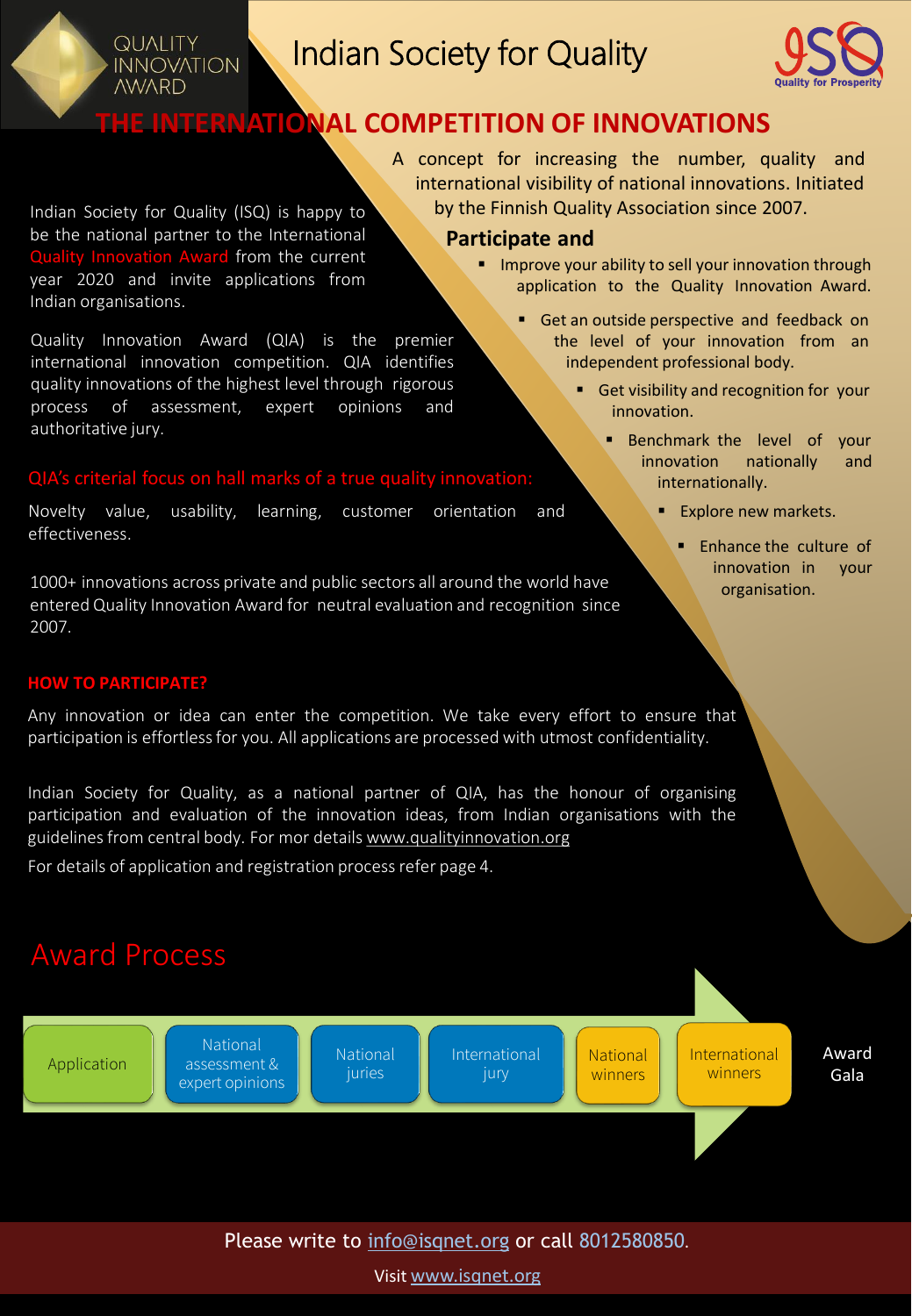# Indian Society for Quality

**Participate and**



# **THE INTERNATIONAL COMPETITION OF INNOVATIONS**

Indian Society for Quality (ISQ) is happy to be the national partner to the International Quality Innovation Award from the current year 2020 and invite applications from Indian organisations.

**QUALITY INNOVATION AWARD** 

Quality Innovation Award (QIA) is the premier international innovation competition. QIA identifies quality innovations of the highest level through rigorous process of assessment, expert opinions and authoritative jury.

#### QIA's criterial focus on hall marks of a true quality innovation:

Novelty value, usability, learning, customer orientation and effectiveness.

1000+ innovations across private and public sectors all around the world have entered Quality Innovation Award for neutral evaluation and recognition since 2007.

#### **HOW TO PARTICIPATE?**

Any innovation or idea can enter the competition. We take every effort to ensure that participation is effortlessfor you. All applications are processed with utmost confidentiality.

Indian Society for Quality, as a national partner of QIA, has the honour of organising participation and evaluation of the innovation ideas, from Indian organisations with the guidelines from central body. For mor details [www.qualityinnovation.org](http://www.qualityinnovation.org/)

For details of application and registration process refer page 4.



Please write to [info@isqnet.org](mailto:info@isqnet.org) or call 8012580850.

Visit [www.isqnet.org](http://www.isqnet.org/)

■ Get an outside perspective and feedback on application to the Quality Innovation Award.

**E** Improve your ability to sell your innovation through

A concept for increasing the number, quality and international visibility of national innovations. Initiated by the Finnish Quality Association since 2007.

- the level of your innovation from an independent professional body.
	- Get visibility and recognition for your innovation.
		- Benchmark the level of your innovation nationally and internationally.
			- **Explore new markets.** 
				- Enhance the culture of innovation in your organisation.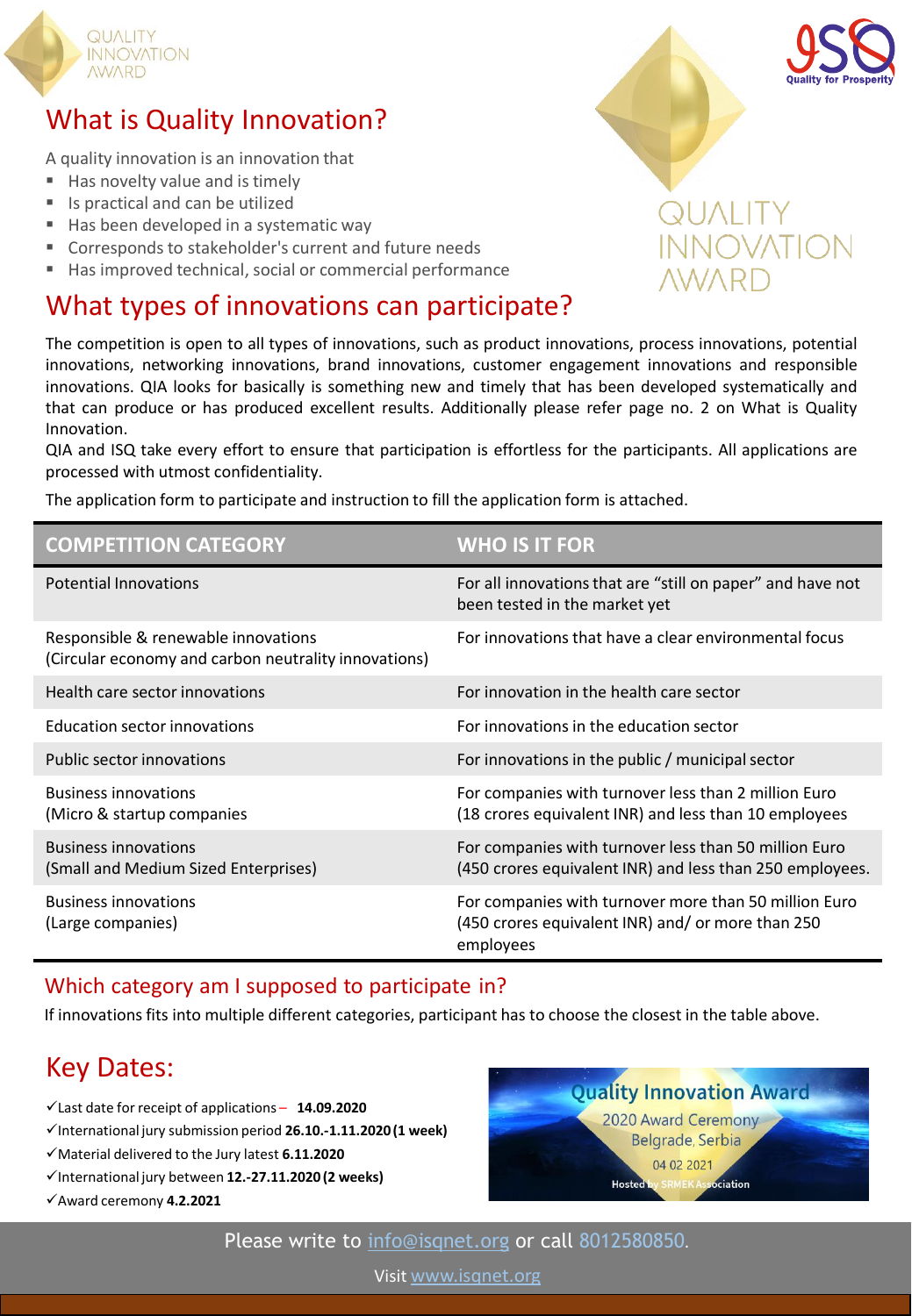

# What is Quality Innovation?

A quality innovation is an innovation that

- Has novelty value and is timely
- Is practical and can be utilized
- Has been developed in a systematic way
- Corresponds to stakeholder's current and future needs
- Has improved technical, social or commercial performance

# What types of innovations can participate?

The competition is open to all types of innovations, such as product innovations, process innovations, potential innovations, networking innovations, brand innovations, customer engagement innovations and responsible innovations. QIA looks for basically is something new and timely that has been developed systematically and that can produce or has produced excellent results. Additionally please refer page no. 2 on What is Quality Innovation.

QIA and ISQ take every effort to ensure that participation is effortless for the participants. All applications are processed with utmost confidentiality.

The application form to participate and instruction to fill the application form is attached.

| <b>COMPETITION CATEGORY</b>                                                                 | <b>WHO IS IT FOR</b>                                                                                                    |
|---------------------------------------------------------------------------------------------|-------------------------------------------------------------------------------------------------------------------------|
| <b>Potential Innovations</b>                                                                | For all innovations that are "still on paper" and have not<br>been tested in the market yet                             |
| Responsible & renewable innovations<br>(Circular economy and carbon neutrality innovations) | For innovations that have a clear environmental focus                                                                   |
| Health care sector innovations                                                              | For innovation in the health care sector                                                                                |
| Education sector innovations                                                                | For innovations in the education sector                                                                                 |
| Public sector innovations                                                                   | For innovations in the public / municipal sector                                                                        |
| <b>Business innovations</b><br>(Micro & startup companies)                                  | For companies with turnover less than 2 million Euro<br>(18 crores equivalent INR) and less than 10 employees           |
| <b>Business innovations</b><br>(Small and Medium Sized Enterprises)                         | For companies with turnover less than 50 million Euro<br>(450 crores equivalent INR) and less than 250 employees.       |
| <b>Business innovations</b><br>(Large companies)                                            | For companies with turnover more than 50 million Euro<br>(450 crores equivalent INR) and/ or more than 250<br>employees |

#### Which category am I supposed to participate in?

If innovations fits into multiple different categories, participant has to choose the closest in the table above.

# Key Dates:

- ✓Last date for receipt of applications **14.09.2020**
- ✓International jury submission period **26.10.-1.11.2020 (1 week)**
- ✓Material delivered to the Jury latest **6.11.2020**
- ✓International jury between **12.-27.11.2020 (2 weeks)**
- ✓Award ceremony **4.2.2021**



# INOVATION



Visit [www.isqnet.org](http://www.isqnet.org/)

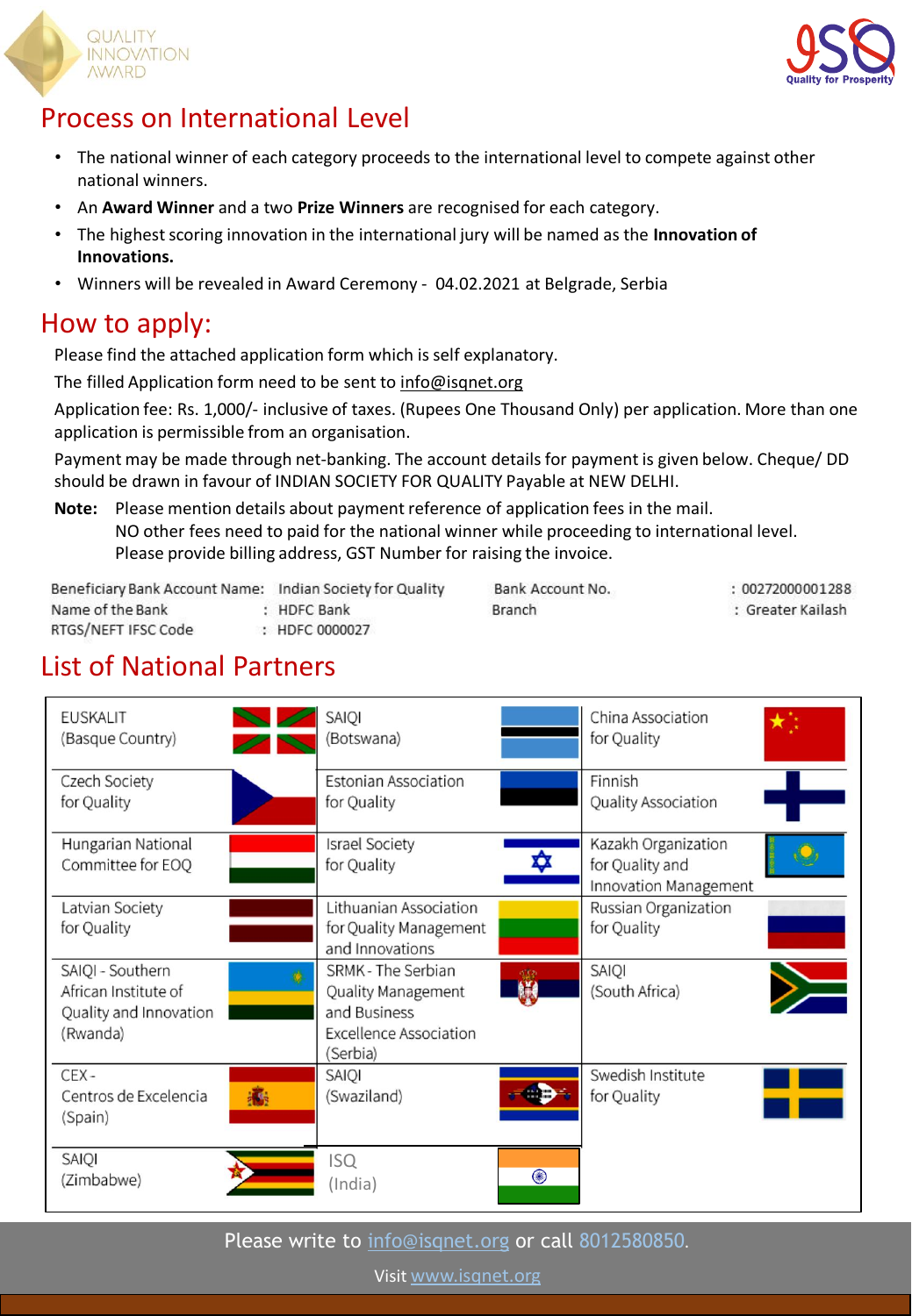



# Process on International Level

- The national winner of each category proceeds to the international level to compete against other national winners.
- An **Award Winner** and a two **Prize Winners** are recognised for each category.
- The highest scoring innovation in the international jury will be named as the **Innovation of Innovations.**
- Winners will be revealed in Award Ceremony 04.02.2021 at Belgrade, Serbia

# How to apply:

Please find the attached application form which is self explanatory.

The filled Application form need to be sent to [info@isqnet.org](mailto:info@isqnet.org)

Application fee: Rs. 1,000/- inclusive of taxes. (Rupees One Thousand Only) per application. More than one application is permissible from an organisation.

Payment may be made through net-banking. The account details for payment is given below. Cheque/ DD should be drawn in favour of INDIAN SOCIETY FOR QUALITY Payable at NEW DELHI.

#### **Note:** Please mention details about payment reference of application fees in the mail. NO other fees need to paid for the national winner while proceeding to international level. Please provide billing address, GST Number for raising the invoice.

Beneficiary Bank Account Name: Indian Society for Quality Name of the Bank : HDFC Bank RTGS/NEFT IFSC Code : HDFC 0000027

Bank Account No. **Branch** 

: 00272000001288 : Greater Kailash

# List of National Partners

| <b>EUSKALIT</b><br>(Basque Country)                                            |   | <b>SAIO</b><br>(Botswana)                                                                             |           | China Association<br>for Quality                                |
|--------------------------------------------------------------------------------|---|-------------------------------------------------------------------------------------------------------|-----------|-----------------------------------------------------------------|
| Czech Society<br>for Quality                                                   |   | <b>Estonian Association</b><br>for Quality                                                            |           | Finnish<br>Quality Association                                  |
| Hungarian National<br>Committee for EOQ                                        |   | <b>Israel Society</b><br>for Quality                                                                  | ₩         | Kazakh Organization<br>for Quality and<br>Innovation Management |
| Latvian Society<br>for Quality                                                 |   | Lithuanian Association<br>for Quality Management<br>and Innovations                                   |           | Russian Organization<br>for Quality                             |
| SAIQI - Southern<br>African Institute of<br>Quality and Innovation<br>(Rwanda) |   | SRMK - The Serbian<br>Quality Management<br>and Business<br><b>Excellence Association</b><br>(Serbia) | d'Ob<br>策 | SAIQI<br>(South Africa)                                         |
| CEX-<br>Centros de Excelencia<br>(Spain)                                       | 癵 | SAIQI<br>(Swaziland)                                                                                  |           | Swedish Institute<br>for Quality                                |
| SAIQI<br>(Zimbabwe)                                                            |   | <b>ISQ</b><br>(India)                                                                                 | ◉         |                                                                 |

Please write to [info@isqnet.org](mailto:info@isqnet.org) or call 8012580850.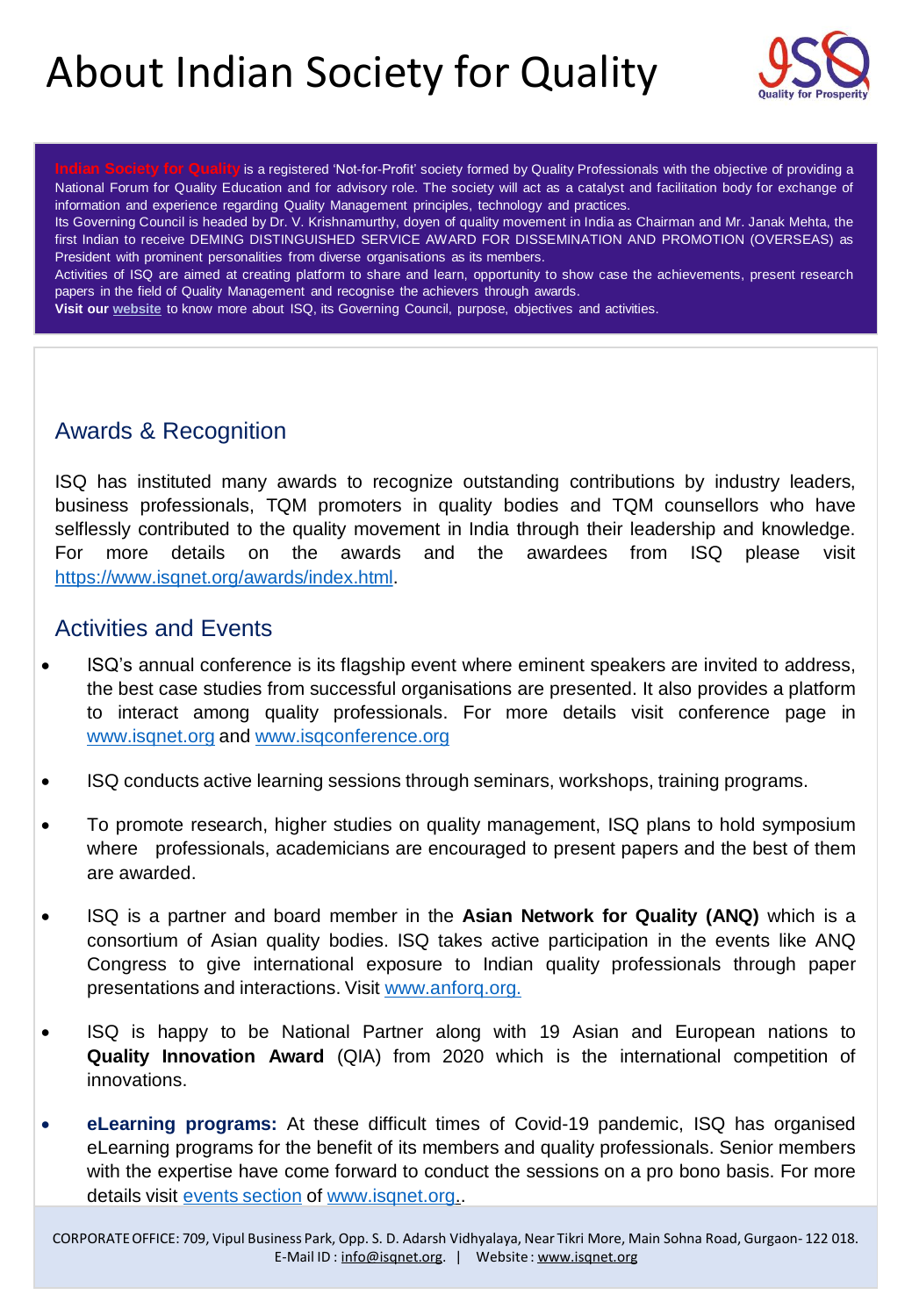# About Indian Society for Quality



is a registered 'Not-for-Profit' society formed by Quality Professionals with the objective of providing a National Forum for Quality Education and for advisory role. The society will act as a catalyst and facilitation body for exchange of information and experience regarding Quality Management principles, technology and practices.

Its Governing Council is headed by Dr. V. Krishnamurthy, doyen of quality movement in India as Chairman and Mr. Janak Mehta, the first Indian to receive DEMING DISTINGUISHED SERVICE AWARD FOR DISSEMINATION AND PROMOTION (OVERSEAS) as President with prominent personalities from diverse organisations as its members.

Activities of ISQ are aimed at creating platform to share and learn, opportunity to show case the achievements, present research papers in the field of Quality Management and recognise the achievers through awards.

**Visit our [website](https://www.isqnet.org/about-us/index.html)** to know more about ISQ, its Governing Council, purpose, objectives and activities.

## Awards & Recognition

ISQ has instituted many awards to recognize outstanding contributions by industry leaders, business professionals, TQM promoters in quality bodies and TQM counsellors who have selflessly contributed to the quality movement in India through their leadership and knowledge. For more details on the awards and the awardees from ISQ please visit [https://www.isqnet.org/awards/index.html.](https://www.isqnet.org/awards/index.html)

## Activities and Events

- ISQ's annual conference is its flagship event where eminent speakers are invited to address, the best case studies from successful organisations are presented. It also provides a platform to interact among quality professionals. For more details visit conference page in [www.isqnet.org](http://www.isqnet.org/) and [www.isqconference.org](http://www.isqconference.org/)
- ISQ conducts active learning sessions through seminars, workshops, training programs.
- To promote research, higher studies on quality management, ISQ plans to hold symposium where professionals, academicians are encouraged to present papers and the best of them are awarded.
- ISQ is a partner and board member in the **Asian Network for Quality (ANQ)** which is a consortium of Asian quality bodies. ISQ takes active participation in the events like ANQ Congress to give international exposure to Indian quality professionals through paper presentations and interactions. Visit [www.anforq.org.](http://www.anforq.org/)
- ISQ is happy to be National Partner along with 19 Asian and European nations to **Quality Innovation Award** (QIA) from 2020 which is the international competition of innovations.
- **eLearning programs:** At these difficult times of Covid-19 pandemic, ISQ has organised eLearning programs for the benefit of its members and quality professionals. Senior members with the expertise have come forward to conduct the sessions on a pro bono basis. For more details visit events [section](https://www.isqnet.org/category/events/national/index.html) of [www.isqnet.org.](http://www.isqnet.org/).